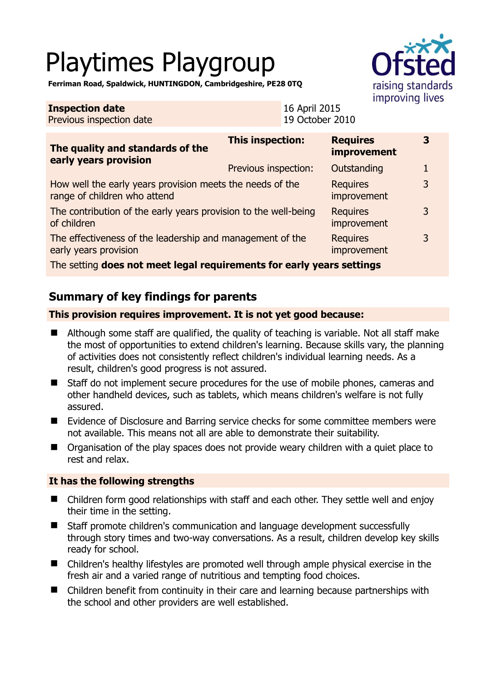# Playtimes Playgroup



**Ferriman Road, Spaldwick, HUNTINGDON, Cambridgeshire, PE28 0TQ** 

| <b>Inspection date</b><br>Previous inspection date                                        | 16 April 2015<br>19 October 2010 |                                       |   |
|-------------------------------------------------------------------------------------------|----------------------------------|---------------------------------------|---|
| The quality and standards of the<br>early years provision                                 | <b>This inspection:</b>          | <b>Requires</b><br><b>improvement</b> | 3 |
|                                                                                           | Previous inspection:             | Outstanding                           | 1 |
| How well the early years provision meets the needs of the<br>range of children who attend |                                  | <b>Requires</b><br>improvement        | 3 |
| The contribution of the early years provision to the well-being<br>of children            |                                  | <b>Requires</b><br>improvement        | 3 |
| The effectiveness of the leadership and management of the<br>early years provision        |                                  | <b>Requires</b><br>improvement        | 3 |
| The setting does not meet legal requirements for early years settings                     |                                  |                                       |   |

## **Summary of key findings for parents**

#### **This provision requires improvement. It is not yet good because:**

- Although some staff are qualified, the quality of teaching is variable. Not all staff make the most of opportunities to extend children's learning. Because skills vary, the planning of activities does not consistently reflect children's individual learning needs. As a result, children's good progress is not assured.
- Staff do not implement secure procedures for the use of mobile phones, cameras and other handheld devices, such as tablets, which means children's welfare is not fully assured.
- Evidence of Disclosure and Barring service checks for some committee members were not available. This means not all are able to demonstrate their suitability.
- Organisation of the play spaces does not provide weary children with a quiet place to rest and relax.

#### **It has the following strengths**

- Children form good relationships with staff and each other. They settle well and enjoy their time in the setting.
- Staff promote children's communication and language development successfully through story times and two-way conversations. As a result, children develop key skills ready for school.
- Children's healthy lifestyles are promoted well through ample physical exercise in the fresh air and a varied range of nutritious and tempting food choices.
- Children benefit from continuity in their care and learning because partnerships with the school and other providers are well established.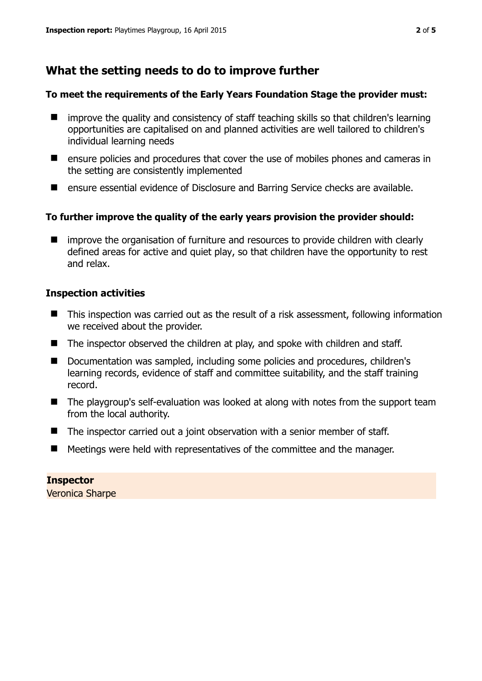# **What the setting needs to do to improve further**

#### **To meet the requirements of the Early Years Foundation Stage the provider must:**

- improve the quality and consistency of staff teaching skills so that children's learning opportunities are capitalised on and planned activities are well tailored to children's individual learning needs
- $\blacksquare$  ensure policies and procedures that cover the use of mobiles phones and cameras in the setting are consistently implemented
- ensure essential evidence of Disclosure and Barring Service checks are available.

#### **To further improve the quality of the early years provision the provider should:**

■ improve the organisation of furniture and resources to provide children with clearly defined areas for active and quiet play, so that children have the opportunity to rest and relax.

#### **Inspection activities**

- This inspection was carried out as the result of a risk assessment, following information we received about the provider.
- The inspector observed the children at play, and spoke with children and staff.
- Documentation was sampled, including some policies and procedures, children's learning records, evidence of staff and committee suitability, and the staff training record.
- The playgroup's self-evaluation was looked at along with notes from the support team from the local authority.
- The inspector carried out a joint observation with a senior member of staff.
- Meetings were held with representatives of the committee and the manager.

**Inspector**  Veronica Sharpe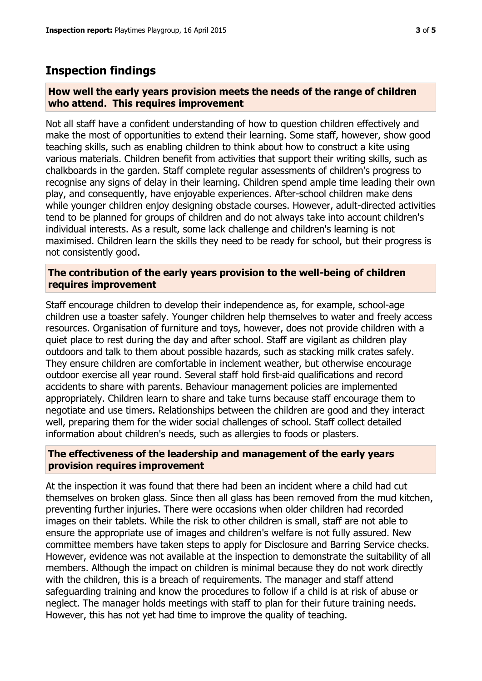## **Inspection findings**

#### **How well the early years provision meets the needs of the range of children who attend. This requires improvement**

Not all staff have a confident understanding of how to question children effectively and make the most of opportunities to extend their learning. Some staff, however, show good teaching skills, such as enabling children to think about how to construct a kite using various materials. Children benefit from activities that support their writing skills, such as chalkboards in the garden. Staff complete regular assessments of children's progress to recognise any signs of delay in their learning. Children spend ample time leading their own play, and consequently, have enjoyable experiences. After-school children make dens while younger children enjoy designing obstacle courses. However, adult-directed activities tend to be planned for groups of children and do not always take into account children's individual interests. As a result, some lack challenge and children's learning is not maximised. Children learn the skills they need to be ready for school, but their progress is not consistently good.

#### **The contribution of the early years provision to the well-being of children requires improvement**

Staff encourage children to develop their independence as, for example, school-age children use a toaster safely. Younger children help themselves to water and freely access resources. Organisation of furniture and toys, however, does not provide children with a quiet place to rest during the day and after school. Staff are vigilant as children play outdoors and talk to them about possible hazards, such as stacking milk crates safely. They ensure children are comfortable in inclement weather, but otherwise encourage outdoor exercise all year round. Several staff hold first-aid qualifications and record accidents to share with parents. Behaviour management policies are implemented appropriately. Children learn to share and take turns because staff encourage them to negotiate and use timers. Relationships between the children are good and they interact well, preparing them for the wider social challenges of school. Staff collect detailed information about children's needs, such as allergies to foods or plasters.

#### **The effectiveness of the leadership and management of the early years provision requires improvement**

At the inspection it was found that there had been an incident where a child had cut themselves on broken glass. Since then all glass has been removed from the mud kitchen, preventing further injuries. There were occasions when older children had recorded images on their tablets. While the risk to other children is small, staff are not able to ensure the appropriate use of images and children's welfare is not fully assured. New committee members have taken steps to apply for Disclosure and Barring Service checks. However, evidence was not available at the inspection to demonstrate the suitability of all members. Although the impact on children is minimal because they do not work directly with the children, this is a breach of requirements. The manager and staff attend safeguarding training and know the procedures to follow if a child is at risk of abuse or neglect. The manager holds meetings with staff to plan for their future training needs. However, this has not yet had time to improve the quality of teaching.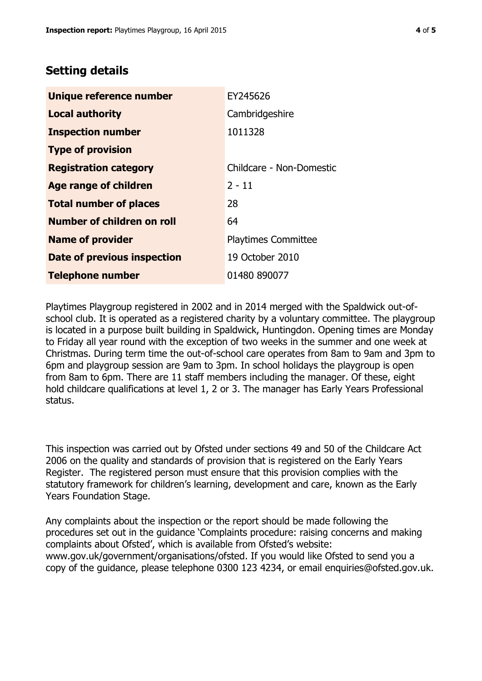### **Setting details**

| Unique reference number       | EY245626                   |
|-------------------------------|----------------------------|
| <b>Local authority</b>        | Cambridgeshire             |
| <b>Inspection number</b>      | 1011328                    |
| <b>Type of provision</b>      |                            |
| <b>Registration category</b>  | Childcare - Non-Domestic   |
| <b>Age range of children</b>  | $2 - 11$                   |
| <b>Total number of places</b> | 28                         |
| Number of children on roll    | 64                         |
| <b>Name of provider</b>       | <b>Playtimes Committee</b> |
| Date of previous inspection   | 19 October 2010            |
| <b>Telephone number</b>       | 01480 890077               |

Playtimes Playgroup registered in 2002 and in 2014 merged with the Spaldwick out-ofschool club. It is operated as a registered charity by a voluntary committee. The playgroup is located in a purpose built building in Spaldwick, Huntingdon. Opening times are Monday to Friday all year round with the exception of two weeks in the summer and one week at Christmas. During term time the out-of-school care operates from 8am to 9am and 3pm to 6pm and playgroup session are 9am to 3pm. In school holidays the playgroup is open from 8am to 6pm. There are 11 staff members including the manager. Of these, eight hold childcare qualifications at level 1, 2 or 3. The manager has Early Years Professional status.

This inspection was carried out by Ofsted under sections 49 and 50 of the Childcare Act 2006 on the quality and standards of provision that is registered on the Early Years Register. The registered person must ensure that this provision complies with the statutory framework for children's learning, development and care, known as the Early Years Foundation Stage.

Any complaints about the inspection or the report should be made following the procedures set out in the guidance 'Complaints procedure: raising concerns and making complaints about Ofsted', which is available from Ofsted's website: www.gov.uk/government/organisations/ofsted. If you would like Ofsted to send you a copy of the guidance, please telephone 0300 123 4234, or email enquiries@ofsted.gov.uk.